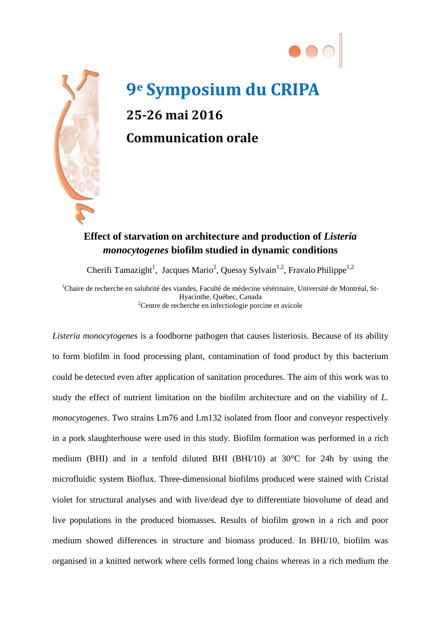



## **9e Symposium du CRIPA 25-26 mai 2016 Communication orale**

## **Effect of starvation on architecture and production of** *Listeria monocytogenes* **biofilm studied in dynamic conditions**

Cherifi Tamazight<sup>1</sup>, Jacques Mario<sup>2</sup>, Quessy Sylvain<sup>1,2</sup>, Fravalo Philippe<sup>1,2</sup>

<sup>1</sup>Chaire de recherche en salubrité des viandes, Faculté de médecine vétérinaire, Université de Montréal, St-Hyacinthe, Québec, Canada<br>
<sup>2</sup> Centre de recherche en infectiologie porcine et avicole

*Listeria monocytogenes* is a foodborne pathogen that causes listeriosis. Because of its ability to form biofilm in food processing plant, contamination of food product by this bacterium could be detected even after application of sanitation procedures. The aim of this work was to study the effect of nutrient limitation on the biofilm architecture and on the viability of *L. monocytogenes*. Two strains Lm76 and Lm132 isolated from floor and conveyor respectively in a pork slaughterhouse were used in this study. Biofilm formation was performed in a rich medium (BHI) and in a tenfold diluted BHI (BHI/10) at 30°C for 24h by using the microfluidic system Bioflux. Three-dimensional biofilms produced were stained with Cristal violet for structural analyses and with live/dead dye to differentiate biovolume of dead and live populations in the produced biomasses. Results of biofilm grown in a rich and poor medium showed differences in structure and biomass produced. In BHI/10, biofilm was organised in a knitted network where cells formed long chains whereas in a rich medium the